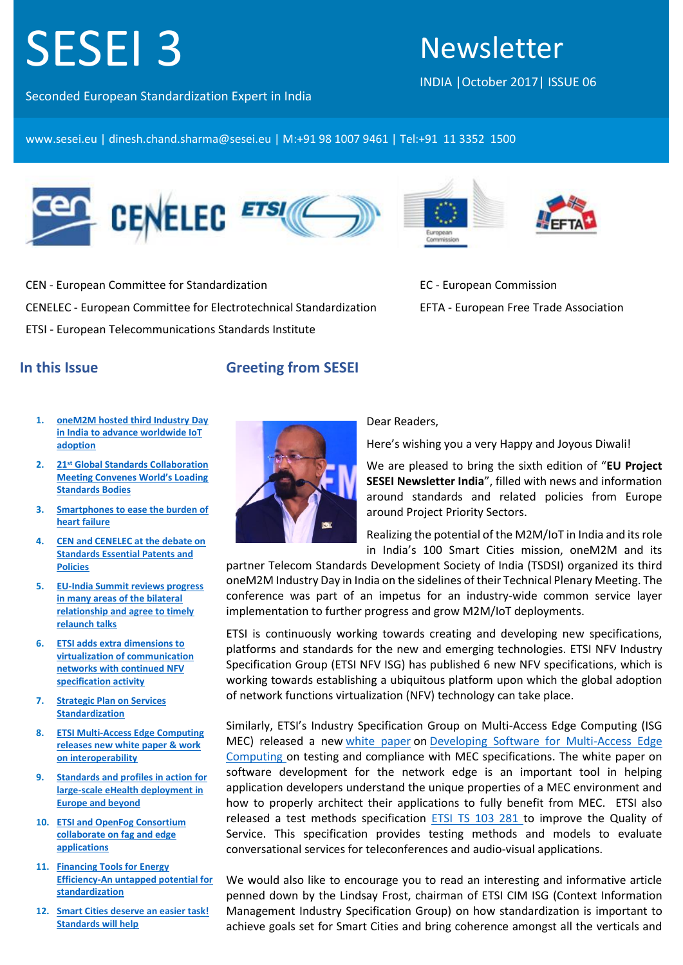# SESEI 3

# Newsletter

INDIA |October 2017| ISSUE 06

Seconded European Standardization Expert in India

www.sesei.eu | dinesh.chand.sharma@sesei.eu | M:+91 98 1007 9461 | Tel:+91 11 3352 1500



CEN - European Committee for Standardization CENELEC - European Committee for Electrotechnical Standardization ETSI - European Telecommunications Standards Institute





EC - European Commission EFTA - European Free Trade Association

# <span id="page-0-0"></span>**In this Issue**

# **Greeting from SESEI**

- **1. [oneM2M hosted third Industry Day](#page-2-0)  [in India to advance worldwide IoT](#page-2-0)  [adoption](#page-2-0)**
- **2. 21st [Global Standards Collaboration](#page-2-1)  [Meeting Convenes World's Loading](#page-2-1)  [Standards Bodies](#page-2-1)**
- **3. [Smartphones to ease the burden of](#page-3-0)  [heart failure](#page-3-0)**
- **4. [CEN and CENELEC at the debate on](#page-3-1)  [Standards Essential Patents and](#page-3-1)  [Policies](#page-3-1)**
- **5. [EU-India Summit reviews progress](#page-3-2)  [in many areas of the bilateral](#page-3-2)  [relationship and agree to timely](#page-3-2)  [relaunch talks](#page-3-2)**
- **6. [ETSI adds extra dimensions to](#page-4-0)  [virtualization of communication](#page-4-0)  [networks with continued NFV](#page-4-0)  [specification activity](#page-4-0)**
- **7. [Strategic Plan on Services](#page-4-1)  [Standardization](#page-4-1)**
- **8. [ETSI Multi-Access Edge Computing](#page-5-0)  [releases new white paper & work](#page-5-0)  [on interoperability](#page-5-0)**
- **9. [Standards and profiles in action for](#page-6-0)  [large-scale eHealth deployment in](#page-6-0)  [Europe and beyond](#page-6-0)**
- **10. [ETSI and OpenFog Consortium](#page-6-1)  [collaborate on fag and edge](#page-6-1)  [applications](#page-6-1)**
- **11. [Financing Tools for Energy](#page-7-0)  [Efficiency-An untapped potential for](#page-7-0)  [standardization](#page-7-0)**
- **12. [Smart Cities deserve an easier task!](#page-7-1)  [Standards will help](#page-7-1)**



#### Dear Readers,

Here's wishing you a very Happy and Joyous Diwali!

We are pleased to bring the sixth edition of "**EU Project SESEI Newsletter India**", filled with news and information around standards and related policies from Europe around Project Priority Sectors.

Realizing the potential of the M2M/IoT in India and its role in India's 100 Smart Cities mission, oneM2M and its

partner Telecom Standards Development Society of India (TSDSI) organized its third oneM2M Industry Day in India on the sidelines of their Technical Plenary Meeting. The conference was part of an impetus for an industry-wide common service layer implementation to further progress and grow M2M/IoT deployments.

ETSI is continuously working towards creating and developing new specifications, platforms and standards for the new and emerging technologies. ETSI NFV Industry Specification Group (ETSI NFV ISG) has published 6 new NFV specifications, which is working towards establishing a ubiquitous platform upon which the global adoption of network functions virtualization (NFV) technology can take place.

Similarly, ETSI's Industry Specification Group on Multi-Access Edge Computing (ISG MEC) released a new [white paper](http://www.etsi.org/technologies-clusters/white-papers-and-brochures/etsi-white-papers) on [Developing Software for Multi-Access Edge](http://www.etsi.org/images/files/ETSIWhitePapers/etsi_wp20_MEC_SoftwareDevelopment_FINAL.pdf)  [Computing](http://www.etsi.org/images/files/ETSIWhitePapers/etsi_wp20_MEC_SoftwareDevelopment_FINAL.pdf) on testing and compliance with MEC specifications. The white paper on software development for the network edge is an important tool in helping application developers understand the unique properties of a MEC environment and how to properly architect their applications to fully benefit from MEC. ETSI also released a test methods specification [ETSI TS 103 281](http://www.etsi.org/deliver/etsi_ts/103200_103299/103281/01.01.01_60/ts_103281v010101p.pdf) to improve the Quality of Service. This specification provides testing methods and models to evaluate conversational services for teleconferences and audio-visual applications.

We would also like to encourage you to read an interesting and informative article penned down by the Lindsay Frost, chairman of ETSI CIM ISG (Context Information Management Industry Specification Group) on how standardization is important to achieve goals set for Smart Cities and bring coherence amongst all the verticals and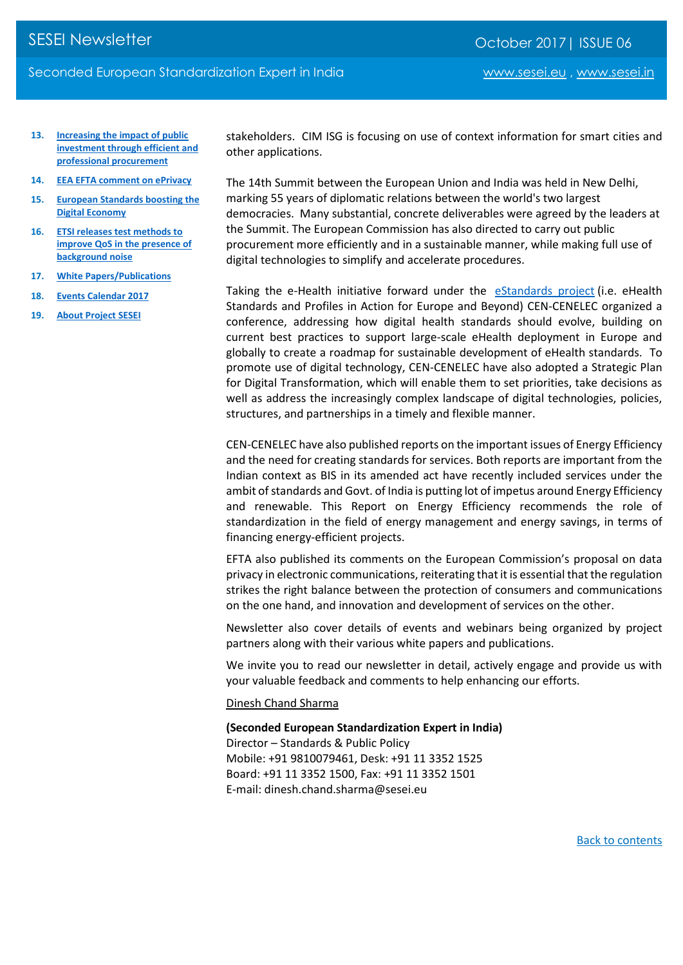- **13. [Increasing the impact of public](#page-8-0)  [investment through efficient and](#page-8-0)  [professional procurement](#page-8-0)**
- **14. [EEA EFTA comment on ePrivacy](#page-8-1)**
- **15. [European Standards boosting the](#page-9-0)  [Digital Economy](#page-9-0)**
- **16. [ETSI releases test methods to](#page-9-1)  [improve QoS in the presence of](#page-9-1)  [background noise](#page-9-1)**
- **17. [White Papers/Publications](#page-9-2)**
- **18. [Events Calendar 2017](#page-11-0)**
- **19. [About Project SESEI](#page-12-0)**

stakeholders. CIM ISG is focusing on use of context information for smart cities and other applications.

The 14th Summit between the European Union and India was held in New Delhi, marking 55 years of diplomatic relations between the world's two largest democracies. Many substantial, concrete deliverables were agreed by the leaders at the Summit. The European Commission has also directed to carry out public procurement more efficiently and in a sustainable manner, while making full use of digital technologies to simplify and accelerate procedures.

Taking the e-Health initiative forward under the [eStandards project](http://www.estandards-project.eu/) (i.e. eHealth Standards and Profiles in Action for Europe and Beyond) CEN-CENELEC organized a conference, addressing how digital health standards should evolve, building on current best practices to support large-scale eHealth deployment in Europe and globally to create a roadmap for sustainable development of eHealth standards. To promote use of digital technology, CEN-CENELEC have also adopted a Strategic Plan for Digital Transformation, which will enable them to set priorities, take decisions as well as address the increasingly complex landscape of digital technologies, policies, structures, and partnerships in a timely and flexible manner.

CEN-CENELEC have also published reports on the important issues of Energy Efficiency and the need for creating standards for services. Both reports are important from the Indian context as BIS in its amended act have recently included services under the ambit of standards and Govt. of India is putting lot of impetus around Energy Efficiency and renewable. This Report on Energy Efficiency recommends the role of standardization in the field of energy management and energy savings, in terms of financing energy-efficient projects.

EFTA also published its comments on the European Commission's proposal on data privacy in electronic communications, reiterating that it is essential that the regulation strikes the right balance between the protection of consumers and communications on the one hand, and innovation and development of services on the other.

Newsletter also cover details of events and webinars being organized by project partners along with their various white papers and publications.

We invite you to read our newsletter in detail, actively engage and provide us with your valuable feedback and comments to help enhancing our efforts.

[Dinesh Chand Sharma](mailto:dinesh.chand.sharma@eustandards.in)

**(Seconded European Standardization Expert in India)** Director – Standards & Public Policy Mobile: +91 9810079461, Desk: +91 11 3352 1525 Board: +91 11 3352 1500, Fax: +91 11 3352 1501 E-mail: dinesh.chand.sharma@sesei.eu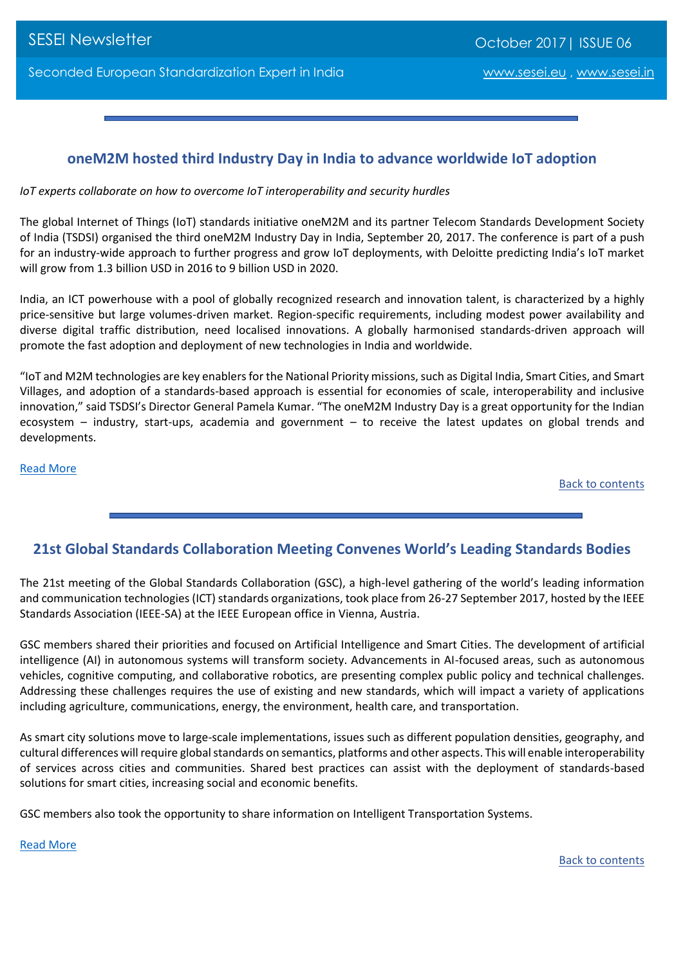# <span id="page-2-0"></span>**oneM2M hosted third Industry Day in India to advance worldwide IoT adoption**

*IoT experts collaborate on how to overcome IoT interoperability and security hurdles*

The global Internet of Things (IoT) standards initiative oneM2M and its partner Telecom Standards Development Society of India (TSDSI) organised the third oneM2M Industry Day in India, September 20, 2017. The conference is part of a push for an industry-wide approach to further progress and grow IoT deployments, with Deloitte predicting India's IoT market will grow from 1.3 billion USD in 2016 to 9 billion USD in 2020.

India, an ICT powerhouse with a pool of globally recognized research and innovation talent, is characterized by a highly price-sensitive but large volumes-driven market. Region-specific requirements, including modest power availability and diverse digital traffic distribution, need localised innovations. A globally harmonised standards-driven approach will promote the fast adoption and deployment of new technologies in India and worldwide.

"IoT and M2M technologies are key enablers for the National Priority missions, such as Digital India, Smart Cities, and Smart Villages, and adoption of a standards-based approach is essential for economies of scale, interoperability and inclusive innovation," said TSDSI's Director General Pamela Kumar. "The oneM2M Industry Day is a great opportunity for the Indian ecosystem – industry, start-ups, academia and government – to receive the latest updates on global trends and developments.

[Read More](http://www.onem2m.org/news-events/news/160-onem2m-to-host-third-industry-day-in-india-to-advance-worldwide-iot-adoption)

Back to contents

# <span id="page-2-1"></span>**21st Global Standards Collaboration Meeting Convenes World's Leading Standards Bodies**

The 21st meeting of the Global Standards Collaboration (GSC), a high-level gathering of the world's leading information and communication technologies (ICT) standards organizations, took place from 26-27 September 2017, hosted by the IEEE Standards Association (IEEE-SA) at the IEEE European office in Vienna, Austria.

GSC members shared their priorities and focused on Artificial Intelligence and Smart Cities. The development of artificial intelligence (AI) in autonomous systems will transform society. Advancements in AI-focused areas, such as autonomous vehicles, cognitive computing, and collaborative robotics, are presenting complex public policy and technical challenges. Addressing these challenges requires the use of existing and new standards, which will impact a variety of applications including agriculture, communications, energy, the environment, health care, and transportation.

As smart city solutions move to large-scale implementations, issues such as different population densities, geography, and cultural differences will require global standards on semantics, platforms and other aspects. This will enable interoperability of services across cities and communities. Shared best practices can assist with the deployment of standards-based solutions for smart cities, increasing social and economic benefits.

GSC members also took the opportunity to share information on Intelligent Transportation Systems.

[Read More](http://www.etsi.org/news-events/news/1219-2017-10-news-21st-global-standards-collaboration-meeting-gsc-21-convenes-world-s-leading-standards-bodies)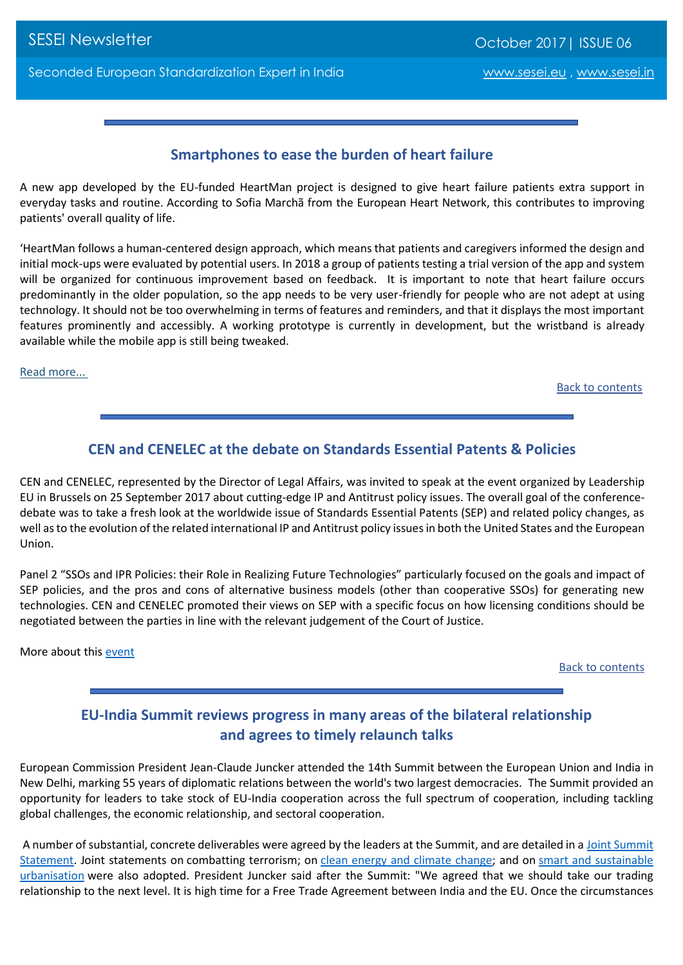# **Smartphones to ease the burden of heart failure**

<span id="page-3-0"></span>A new app developed by the EU-funded HeartMan project is designed to give heart failure patients extra support in everyday tasks and routine. According to Sofia Marchã from the European Heart Network, this contributes to improving patients' overall quality of life.

'HeartMan follows a human-centered design approach, which means that patients and caregivers informed the design and initial mock-ups were evaluated by potential users. In 2018 a group of patients testing a trial version of the app and system will be organized for continuous improvement based on feedback. It is important to note that heart failure occurs predominantly in the older population, so the app needs to be very user-friendly for people who are not adept at using technology. It should not be too overwhelming in terms of features and reminders, and that it displays the most important features prominently and accessibly. A working prototype is currently in development, but the wristband is already available while the mobile app is still being tweaked.

[Read more...](http://ec.europa.eu/newsroom/dae/redirection.cfm?item_id=604651&newsletter=1&lang=default) 

Back to contents

# **CEN and CENELEC at the debate on Standards Essential Patents & Policies**

<span id="page-3-1"></span>CEN and CENELEC, represented by the Director of Legal Affairs, was invited to speak at the event organized by Leadership EU in Brussels on 25 September 2017 about cutting-edge IP and Antitrust policy issues. The overall goal of the conferencedebate was to take a fresh look at the worldwide issue of Standards Essential Patents (SEP) and related policy changes, as well as to the evolution of the related international IP and Antitrust policy issues in both the United States and the European Union.

Panel 2 "SSOs and IPR Policies: their Role in Realizing Future Technologies" particularly focused on the goals and impact of SEP policies, and the pros and cons of alternative business models (other than cooperative SSOs) for generating new technologies. CEN and CENELEC promoted their views on SEP with a specific focus on how licensing conditions should be negotiated between the parties in line with the relevant judgement of the Court of Justice.

More about this [event](http://www.ipleadership.org/events/leadership-eu)

Back to contents

# **EU-India Summit reviews progress in many areas of the bilateral relationship and agrees to timely relaunch talks**

<span id="page-3-2"></span>European Commission President Jean-Claude Juncker attended the 14th Summit between the European Union and India in New Delhi, marking 55 years of diplomatic relations between the world's two largest democracies. The Summit provided an opportunity for leaders to take stock of EU-India cooperation across the full spectrum of cooperation, including tackling global challenges, the economic relationship, and sectoral cooperation.

A number of substantial, concrete deliverables were agreed by the leaders at the Summit, and are detailed in a [Joint Summit](http://europa.eu/rapid/press-release_STATEMENT-17-3743_en.htm)  [Statement.](http://europa.eu/rapid/press-release_STATEMENT-17-3743_en.htm) Joint statements on combatting terrorism; on [clean energy and climate change;](https://ec.europa.eu/clima/sites/clima/files/news/20171006_statement_en.pdf) and on smart and sustainable [urbanisation](http://ec.europa.eu/regional_policy/sources/cooperate/international/pdf/joint_declaration_india.pdf) were also adopted. President Juncker said after the Summit: "We agreed that we should take our trading relationship to the next level. It is high time for a Free Trade Agreement between India and the EU. Once the circumstances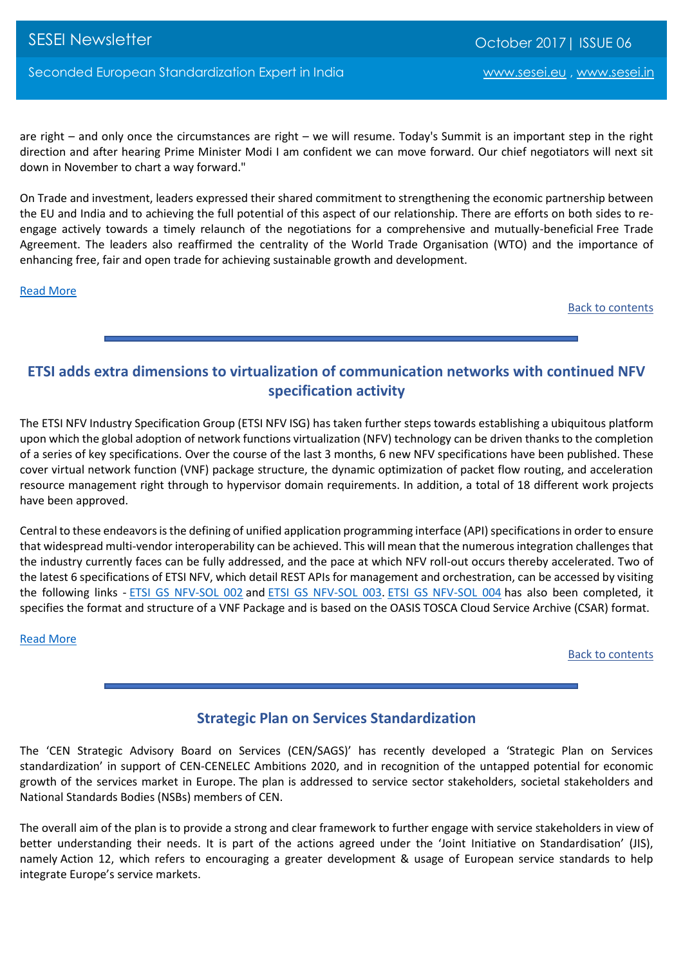SESEI Newsletter Communication Control of Communication Corporation Corporation Corporation Corporation Corporation Corporation Corporation Corporation Corporation Corporation Corporation Corporation Corporation Corporatio

are right – and only once the circumstances are right – we will resume. Today's Summit is an important step in the right direction and after hearing Prime Minister Modi I am confident we can move forward. Our chief negotiators will next sit down in November to chart a way forward."

On Trade and investment, leaders expressed their shared commitment to strengthening the economic partnership between the EU and India and to achieving the full potential of this aspect of our relationship. There are efforts on both sides to reengage actively towards a timely relaunch of the negotiations for a comprehensive and mutually-beneficial Free Trade Agreement. The leaders also reaffirmed the centrality of the World Trade Organisation (WTO) and the importance of enhancing free, fair and open trade for achieving sustainable growth and development.

#### [Read More](https://ec.europa.eu/commission/news/president-juncker-eu-india-summit-2017-oct-06_en)

Back to contents

# <span id="page-4-0"></span>**ETSI adds extra dimensions to virtualization of communication networks with continued NFV specification activity**

The ETSI NFV Industry Specification Group (ETSI NFV ISG) has taken further steps towards establishing a ubiquitous platform upon which the global adoption of network functions virtualization (NFV) technology can be driven thanks to the completion of a series of key specifications. Over the course of the last 3 months, 6 new NFV specifications have been published. These cover virtual network function (VNF) package structure, the dynamic optimization of packet flow routing, and acceleration resource management right through to hypervisor domain requirements. In addition, a total of 18 different work projects have been approved.

Central to these endeavors is the defining of unified application programming interface (API) specifications in order to ensure that widespread multi-vendor interoperability can be achieved. This will mean that the numerous integration challenges that the industry currently faces can be fully addressed, and the pace at which NFV roll-out occurs thereby accelerated. Two of the latest 6 specifications of ETSI NFV, which detail REST APIs for management and orchestration, can be accessed by visiting the following links - [ETSI GS NFV-SOL 002](http://www.etsi.org/deliver/etsi_gs/NFV-SOL/001_099/002/02.03.01_60/gs_NFV-SOL002v020301p.pdf) and [ETSI GS NFV-SOL](http://www.etsi.org/deliver/etsi_gs/NFV-SOL/001_099/003/02.03.01_60/gs_NFV-SOL003v020301p.pdf) 003. [ETSI GS NFV-SOL 004](http://www.etsi.org/deliver/etsi_gs/NFV-SOL/001_099/004/02.03.01_60/gs_nfv-sol004v020301p.pdf) has also been completed, it specifies the format and structure of a VNF Package and is based on the OASIS TOSCA Cloud Service Archive (CSAR) format.

#### [Read More](http://www.etsi.org/news-events/news/1220-2017-10-news-etsi-adds-extra-dimensions-to-virtualization-of-communication-networks-with-continued-nfv-specification-activity)

Back to contents

# **Strategic Plan on Services Standardization**

<span id="page-4-1"></span>The 'CEN Strategic Advisory Board on Services (CEN/SAGS)' has recently developed a 'Strategic Plan on Services standardization' in support of CEN-CENELEC Ambitions 2020, and in recognition of the untapped potential for economic growth of the services market in Europe. The plan is addressed to service sector stakeholders, societal stakeholders and National Standards Bodies (NSBs) members of CEN.

The overall aim of the plan is to provide a strong and clear framework to further engage with service stakeholders in view of better understanding their needs. It is part of the actions agreed under the 'Joint Initiative on Standardisation' (JIS), namely Action 12, which refers to encouraging a greater development & usage of European service standards to help integrate Europe's service markets.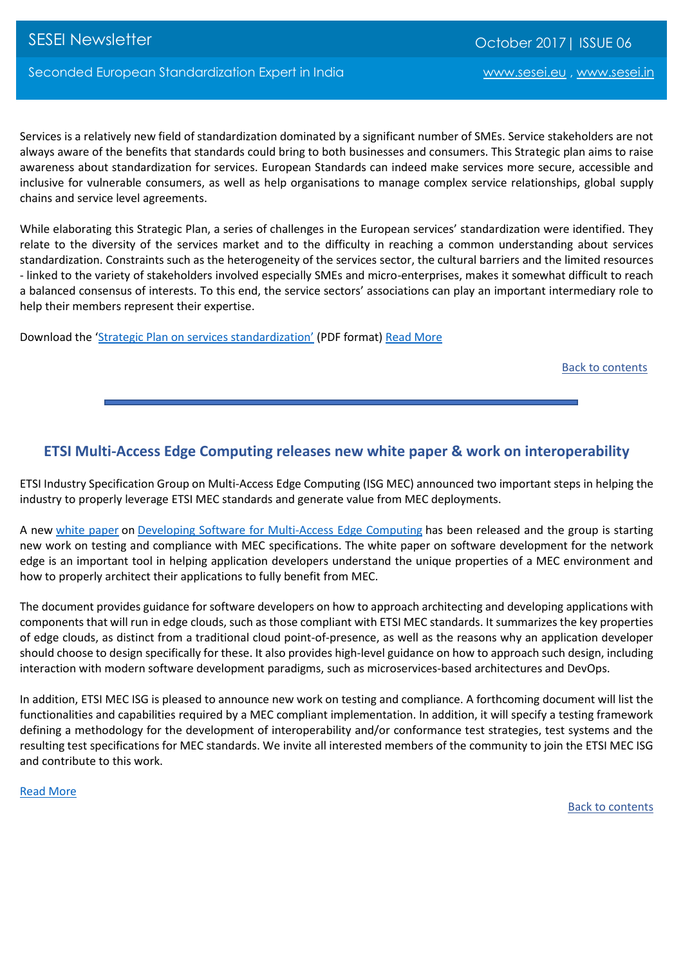Services is a relatively new field of standardization dominated by a significant number of SMEs. Service stakeholders are not always aware of the benefits that standards could bring to both businesses and consumers. This Strategic plan aims to raise awareness about standardization for services. European Standards can indeed make services more secure, accessible and inclusive for vulnerable consumers, as well as help organisations to manage complex service relationships, global supply chains and service level agreements.

While elaborating this Strategic Plan, a series of challenges in the European services' standardization were identified. They relate to the diversity of the services market and to the difficulty in reaching a common understanding about services standardization. Constraints such as the heterogeneity of the services sector, the cultural barriers and the limited resources - linked to the variety of stakeholders involved especially SMEs and micro-enterprises, makes it somewhat difficult to reach a balanced consensus of interests. To this end, the service sectors' associations can play an important intermediary role to help their members represent their expertise.

Download the 'Strategic Plan [on services standardization'](https://www.cencenelec.eu/news/publications/Publications/services_strategy-Final-2017-08-30.pdf) (PDF format) [Read More](https://www.cencenelec.eu/news/brief_news/Pages/TN-2017-032.aspx)

Back to contents

#### <span id="page-5-0"></span>**ETSI Multi-Access Edge Computing releases new white paper & work on interoperability**

ETSI Industry Specification Group on Multi-Access Edge Computing (ISG MEC) announced two important steps in helping the industry to properly leverage ETSI MEC standards and generate value from MEC deployments.

A new [white paper](http://www.etsi.org/technologies-clusters/white-papers-and-brochures/etsi-white-papers) on [Developing Software for Multi-Access Edge Computing](http://www.etsi.org/images/files/ETSIWhitePapers/etsi_wp20_MEC_SoftwareDevelopment_FINAL.pdf) has been released and the group is starting new work on testing and compliance with MEC specifications. The white paper on software development for the network edge is an important tool in helping application developers understand the unique properties of a MEC environment and how to properly architect their applications to fully benefit from MEC.

The document provides guidance for software developers on how to approach architecting and developing applications with components that will run in edge clouds, such as those compliant with ETSI MEC standards. It summarizes the key properties of edge clouds, as distinct from a traditional cloud point-of-presence, as well as the reasons why an application developer should choose to design specifically for these. It also provides high-level guidance on how to approach such design, including interaction with modern software development paradigms, such as microservices-based architectures and DevOps.

In addition, ETSI MEC ISG is pleased to announce new work on testing and compliance. A forthcoming document will list the functionalities and capabilities required by a MEC compliant implementation. In addition, it will specify a testing framework defining a methodology for the development of interoperability and/or conformance test strategies, test systems and the resulting test specifications for MEC standards. We invite all interested members of the community to join the ETSI MEC ISG and contribute to this work.

[Read More](http://www.etsi.org/news-events/news/1218-2017-09-news-etsi-multi-access-edge-computing-releases-new-white-paper-and-starts-work-on-interoperability)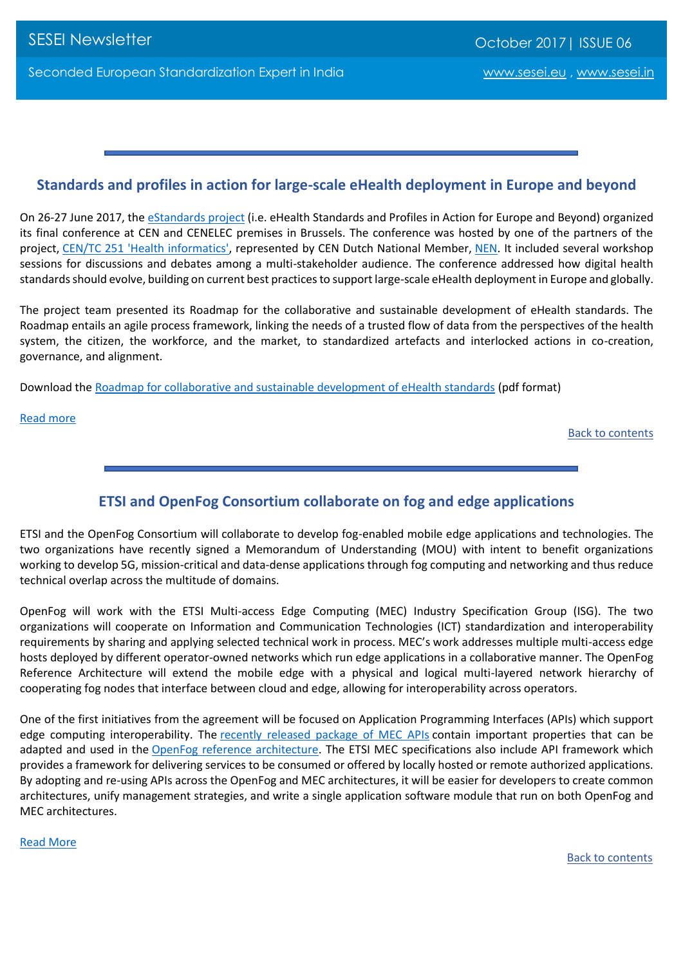# <span id="page-6-0"></span>**Standards and profiles in action for large-scale eHealth deployment in Europe and beyond**

On 26-27 June 2017, the [eStandards project](http://www.estandards-project.eu/) (i.e. eHealth Standards and Profiles in Action for Europe and Beyond) organized its final conference at CEN and CENELEC premises in Brussels. The conference was hosted by one of the partners of the project, [CEN/TC 251 'Health informatics',](https://standards.cen.eu/dyn/www/f?p=204:7:0::::FSP_ORG_ID:6232&cs=18CA078392807EDD402B798AAEF1644E1) represented by CEN Dutch National Member, [NEN.](https://standards.cen.eu/dyn/www/f?p=CENWEB:16:0::::FSP_ORG_ID:5050&cs=16E1BAEF8AF6F3F5EFE58D1858139DCE1) It included several workshop sessions for discussions and debates among a multi-stakeholder audience. The conference addressed how digital health standards should evolve, building on current best practices to support large-scale eHealth deployment in Europe and globally.

The project team presented its Roadmap for the collaborative and sustainable development of eHealth standards. The Roadmap entails an agile process framework, linking the needs of a trusted flow of data from the perspectives of the health system, the citizen, the workforce, and the market, to standardized artefacts and interlocked actions in co-creation, governance, and alignment.

Download the [Roadmap for collaborative and sustainable development of eHealth standards](ftp://ftp.cencenelec.eu/EN/EuropeanStandardization/Fields/Healthcare/eHealth/eStandardsConferenceReport.pdf) (pdf format)

#### [Read more](https://www.cencenelec.eu/news/brief_news/Pages/TN-2017-028.aspx)

Back to contents

# **ETSI and OpenFog Consortium collaborate on fog and edge applications**

<span id="page-6-1"></span>ETSI and the OpenFog Consortium will collaborate to develop fog-enabled mobile edge applications and technologies. The two organizations have recently signed a Memorandum of Understanding (MOU) with intent to benefit organizations working to develop 5G, mission-critical and data-dense applications through fog computing and networking and thus reduce technical overlap across the multitude of domains.

OpenFog will work with the ETSI Multi-access Edge Computing (MEC) Industry Specification Group (ISG). The two organizations will cooperate on Information and Communication Technologies (ICT) standardization and interoperability requirements by sharing and applying selected technical work in process. MEC's work addresses multiple multi-access edge hosts deployed by different operator-owned networks which run edge applications in a collaborative manner. The OpenFog Reference Architecture will extend the mobile edge with a physical and logical multi-layered network hierarchy of cooperating fog nodes that interface between cloud and edge, allowing for interoperability across operators.

One of the first initiatives from the agreement will be focused on Application Programming Interfaces (APIs) which support edge computing interoperability. The [recently released package of MEC APIs](http://www.etsi.org/news-events/news/1204-2017-07-news-etsi-multi-access-edge-computing-group-releases-a-first-package-of-apis) contain important properties that can be adapted and used in the [OpenFog reference architecture.](http://www.openfogconsortium.org/ra) The ETSI MEC specifications also include API framework which provides a framework for delivering services to be consumed or offered by locally hosted or remote authorized applications. By adopting and re-using APIs across the OpenFog and MEC architectures, it will be easier for developers to create common architectures, unify management strategies, and write a single application software module that run on both OpenFog and MEC architectures.

#### [Read More](http://www.etsi.org/news-events/news/1216-2017-09-news-etsi-and-openfog-consortium-collaborate-on-fog-and-edge-applications)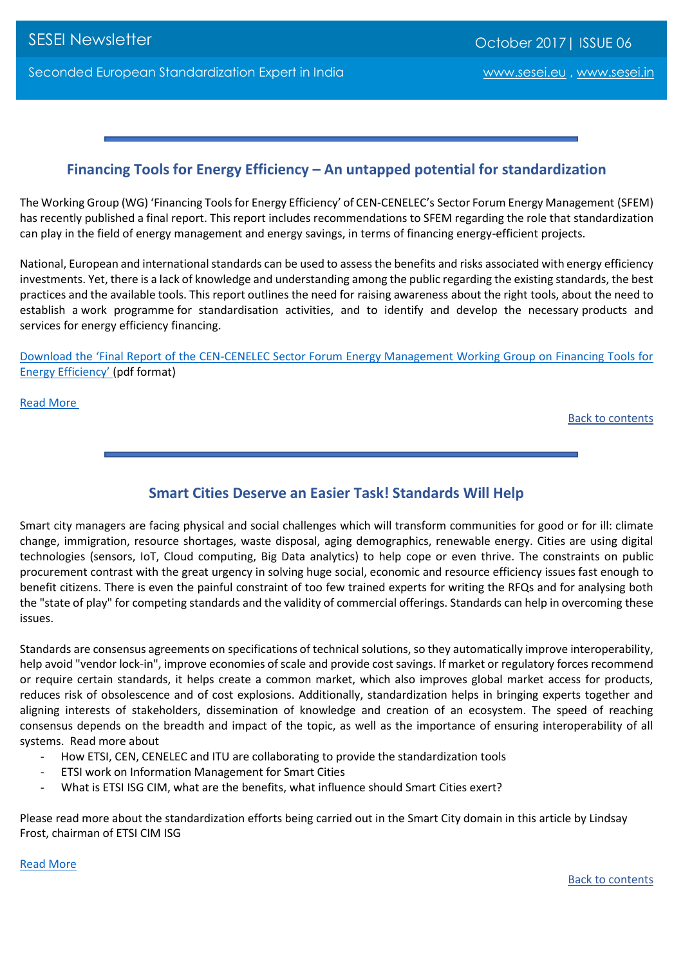# **Financing Tools for Energy Efficiency – An untapped potential for standardization**

<span id="page-7-0"></span>The Working Group (WG) 'Financing Tools for Energy Efficiency' of CEN-CENELEC's Sector Forum Energy Management (SFEM) has recently published a final report. This report includes recommendations to SFEM regarding the role that standardization can play in the field of energy management and energy savings, in terms of financing energy-efficient projects.

National, European and international standards can be used to assess the benefits and risks associated with energy efficiency investments. Yet, there is a lack of knowledge and understanding among the public regarding the existing standards, the best practices and the available tools. This report outlines the need for raising awareness about the right tools, about the need to establish a work programme for standardisation activities, and to identify and develop the necessary products and services for energy efficiency financing.

Download the 'Final Report of the CEN[-CENELEC Sector Forum Energy Management Working Group on Financing Tools for](ftp://ftp.cencenelec.eu/EN/News/SectorNews/2017/SFEM/SFEM_WG_Financing_ools-Final _Report_EP15.4-F.pdf)  [Energy Efficiency'](ftp://ftp.cencenelec.eu/EN/News/SectorNews/2017/SFEM/SFEM_WG_Financing_ools-Final _Report_EP15.4-F.pdf) (pdf format)

[Read More](https://www.cencenelec.eu/news/brief_news/Pages/TN-2017-029.aspx)

Back to contents

# **Smart Cities Deserve an Easier Task! Standards Will Help**

<span id="page-7-1"></span>Smart city managers are facing physical and social challenges which will transform communities for good or for ill: climate change, immigration, resource shortages, waste disposal, aging demographics, renewable energy. Cities are using digital technologies (sensors, IoT, Cloud computing, Big Data analytics) to help cope or even thrive. The constraints on public procurement contrast with the great urgency in solving huge social, economic and resource efficiency issues fast enough to benefit citizens. There is even the painful constraint of too few trained experts for writing the RFQs and for analysing both the "state of play" for competing standards and the validity of commercial offerings. Standards can help in overcoming these issues.

Standards are consensus agreements on specifications of technical solutions, so they automatically improve interoperability, help avoid "vendor lock-in", improve economies of scale and provide cost savings. If market or regulatory forces recommend or require certain standards, it helps create a common market, which also improves global market access for products, reduces risk of obsolescence and of cost explosions. Additionally, standardization helps in bringing experts together and aligning interests of stakeholders, dissemination of knowledge and creation of an ecosystem. The speed of reaching consensus depends on the breadth and impact of the topic, as well as the importance of ensuring interoperability of all systems. Read more about

- How ETSI, CEN, CENELEC and ITU are collaborating to provide the standardization tools
- ETSI work on Information Management for Smart Cities
- What is ETSI ISG CIM, what are the benefits, what influence should Smart Cities exert?

Please read more about the standardization efforts being carried out in the Smart City domain in this article by Lindsay Frost, chairman of ETSI CIM ISG

[Read More](http://www.etsi.org/images/files/ETSInewsletter/etsinewsletter-issue2-2017.pdf)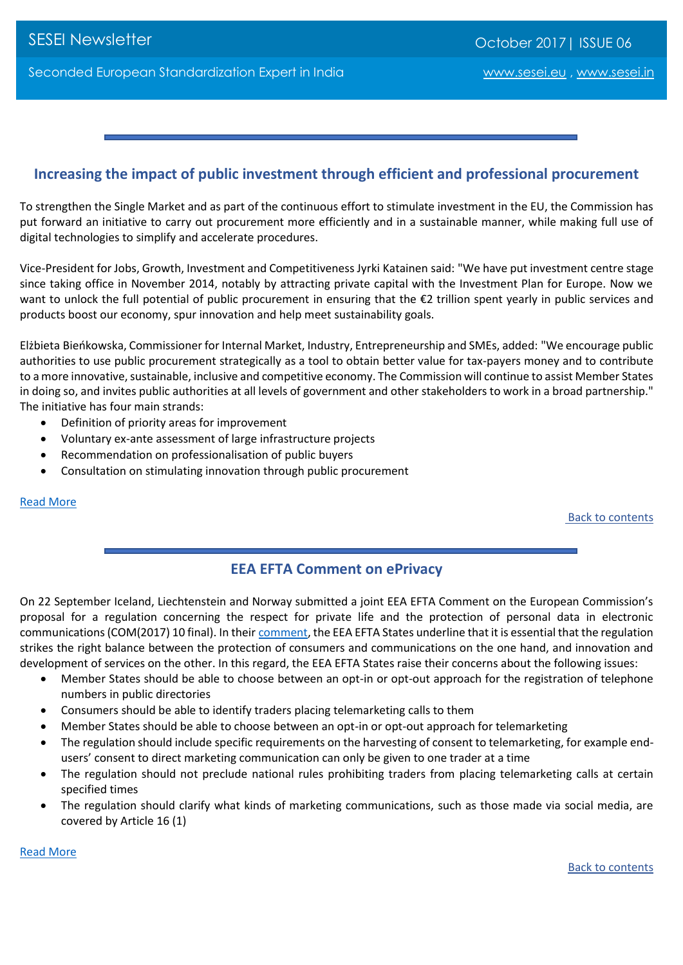# <span id="page-8-0"></span>**Increasing the impact of public investment through efficient and professional procurement**

To strengthen the Single Market and as part of the continuous effort to stimulate investment in the EU, the Commission has put forward an initiative to carry out procurement more efficiently and in a sustainable manner, while making full use of digital technologies to simplify and accelerate procedures.

Vice-President for Jobs, Growth, Investment and Competitiveness Jyrki Katainen said: "We have put investment centre stage since taking office in November 2014, notably by attracting private capital with the Investment Plan for Europe. Now we want to unlock the full potential of public procurement in ensuring that the €2 trillion spent yearly in public services and products boost our economy, spur innovation and help meet sustainability goals.

Elżbieta Bieńkowska, Commissioner for Internal Market, Industry, Entrepreneurship and SMEs, added: "We encourage public authorities to use public procurement strategically as a tool to obtain better value for tax-payers money and to contribute to a more innovative, sustainable, inclusive and competitive economy. The Commission will continue to assist Member States in doing so, and invites public authorities at all levels of government and other stakeholders to work in a broad partnership." The initiative has four main strands:

- Definition of priority areas for improvement
- Voluntary ex-ante assessment of large infrastructure projects
- Recommendation on professionalisation of public buyers
- Consultation on stimulating innovation through public procurement

#### [Read More](http://europa.eu/rapid/press-release_IP-17-3543_en.htm)

Back to contents

# **EEA EFTA Comment on ePrivacy**

<span id="page-8-1"></span>On 22 September Iceland, Liechtenstein and Norway submitted a joint EEA EFTA Comment on the European Commission's proposal for a regulation concerning the respect for private life and the protection of personal data in electronic communications (COM(2017) 10 final). In their [comment,](http://www.efta.int/sites/default/files/documents/eea/eea-efta-comments/2017/EEA%20EFTA%20Comment%20on%20the%20ePrivacy%20Regulation.pdf) the EEA EFTA States underline that it is essential that the regulation strikes the right balance between the protection of consumers and communications on the one hand, and innovation and development of services on the other. In this regard, the EEA EFTA States raise their concerns about the following issues:

- Member States should be able to choose between an opt-in or opt-out approach for the registration of telephone numbers in public directories
- Consumers should be able to identify traders placing telemarketing calls to them
- Member States should be able to choose between an opt-in or opt-out approach for telemarketing
- The regulation should include specific requirements on the harvesting of consent to telemarketing, for example endusers' consent to direct marketing communication can only be given to one trader at a time
- The regulation should not preclude national rules prohibiting traders from placing telemarketing calls at certain specified times
- The regulation should clarify what kinds of marketing communications, such as those made via social media, are covered by Article 16 (1)

[Read More](http://www.efta.int/EEA/news/EEA-EFTA-Comment-ePrivacy-505056)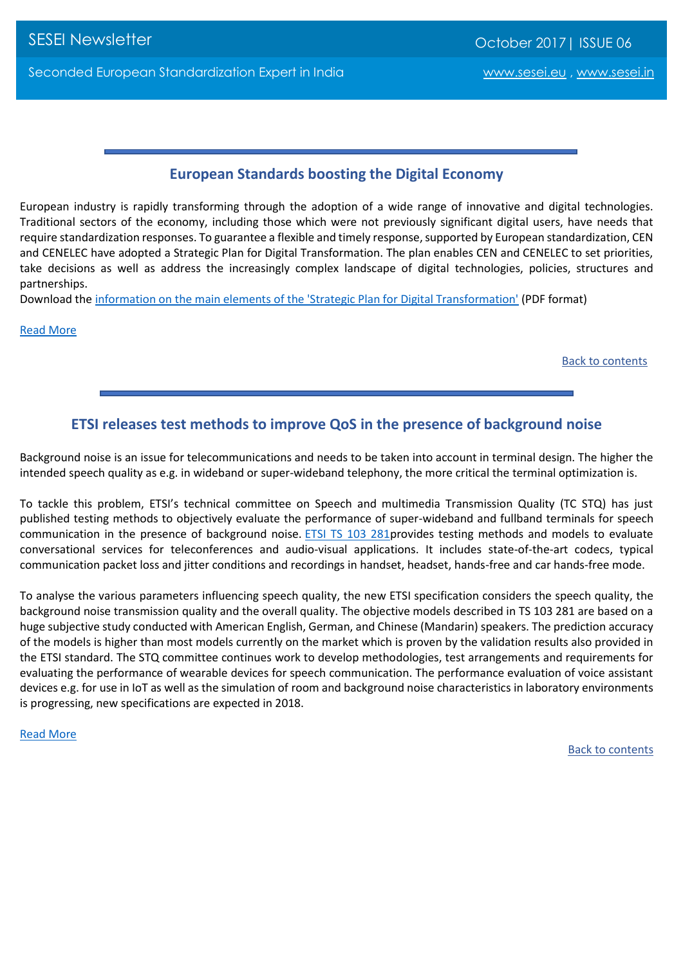# **European Standards boosting the Digital Economy**

<span id="page-9-0"></span>European industry is rapidly transforming through the adoption of a wide range of innovative and digital technologies. Traditional sectors of the economy, including those which were not previously significant digital users, have needs that require standardization responses. To guarantee a flexible and timely response, supported by European standardization, CEN and CENELEC have adopted a Strategic Plan for Digital Transformation. The plan enables CEN and CENELEC to set priorities, take decisions as well as address the increasingly complex landscape of digital technologies, policies, structures and partnerships.

Download the [information on the main elements of the 'Strategic Plan for Digital Transformation'](ftp://ftp.cencenelec.eu/EN/News/Brief/2017/StrategicPlan/DigitalTransformation.pdf) (PDF format)

[Read More](https://www.cencenelec.eu/news/brief_news/Pages/NEWS-2017-26.aspx)

Back to contents

# **ETSI releases test methods to improve QoS in the presence of background noise**

<span id="page-9-1"></span>Background noise is an issue for telecommunications and needs to be taken into account in terminal design. The higher the intended speech quality as e.g. in wideband or super-wideband telephony, the more critical the terminal optimization is.

To tackle this problem, ETSI's technical committee on Speech and multimedia Transmission Quality (TC STQ) has just published testing methods to objectively evaluate the performance of super-wideband and fullband terminals for speech communication in the presence of background noise. [ETSI TS 103 281p](http://www.etsi.org/deliver/etsi_ts/103200_103299/103281/01.01.01_60/ts_103281v010101p.pdf)rovides testing methods and models to evaluate conversational services for teleconferences and audio-visual applications. It includes state-of-the-art codecs, typical communication packet loss and jitter conditions and recordings in handset, headset, hands-free and car hands-free mode.

To analyse the various parameters influencing speech quality, the new ETSI specification considers the speech quality, the background noise transmission quality and the overall quality. The objective models described in TS 103 281 are based on a huge subjective study conducted with American English, German, and Chinese (Mandarin) speakers. The prediction accuracy of the models is higher than most models currently on the market which is proven by the validation results also provided in the ETSI standard. The STQ committee continues work to develop methodologies, test arrangements and requirements for evaluating the performance of wearable devices for speech communication. The performance evaluation of voice assistant devices e.g. for use in IoT as well as the simulation of room and background noise characteristics in laboratory environments is progressing, new specifications are expected in 2018.

<span id="page-9-2"></span>[Read More](http://www.etsi.org/news-events/news/1210-2017-07-etsi-releases-test-methods-to-improve-qos-in-the-presence-of-background-noise)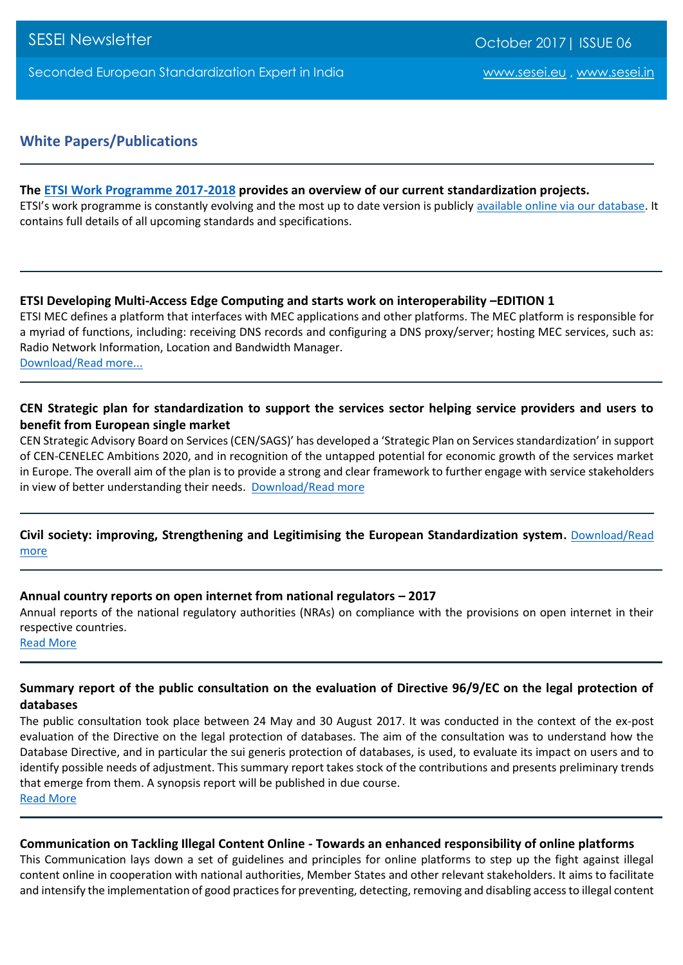# **White Papers/Publications**

#### **The [ETSI Work Programme 2017-2018](http://www.etsi.org/images/files/WorkProgramme/etsi-work-programme-2017-2018.pdf) provides an overview of our current standardization projects.**

ETSI's work programme is constantly evolving and the most up to date version is publicly available online [via our database.](http://webapp.etsi.org/workprogram) It contains full details of all upcoming standards and specifications.

#### **ETSI Developing Multi-Access Edge Computing and starts work on interoperability –EDITION 1**

ETSI MEC defines a platform that interfaces with MEC applications and other platforms. The MEC platform is responsible for a myriad of functions, including: receiving DNS records and configuring a DNS proxy/server; hosting MEC services, such as: Radio Network Information, Location and Bandwidth Manager. [Download/Read](http://www.etsi.org/images/files/ETSIWhitePapers/etsi_wp20_MEC_SoftwareDevelopment_FINAL.pdf) more...

#### **CEN Strategic plan for standardization to support the services sector helping service providers and users to benefit from European single market**

CEN Strategic Advisory Board on Services (CEN/SAGS)' has developed a 'Strategic Plan on Services standardization' in support of CEN-CENELEC Ambitions 2020, and in recognition of the untapped potential for economic growth of the services market in Europe. The overall aim of the plan is to provide a strong and clear framework to further engage with service stakeholders in view of better understanding their needs. [Download/Read more](https://www.cencenelec.eu/news/publications/Publications/services_strategy-Final-2017-08-30.pdf)

#### **Civil society: improving, Strengthening and Legitimising the European Standardization system.** [Download/Read](https://www.cencenelec.eu/news/publications/Publications/CivilSociety.pdf)  [more](https://www.cencenelec.eu/news/publications/Publications/CivilSociety.pdf)

#### **Annual country reports on open internet from national regulators – 2017**

Annual reports of the national regulatory authorities (NRAs) on compliance with the provisions on open internet in their respective countries.

[Read More](https://ec.europa.eu/digital-single-market/en/news/annual-country-reports-open-internet-national-regulators-2017)

#### **Summary report of the public consultation on the evaluation of Directive 96/9/EC on the legal protection of databases**

The public consultation took place between 24 May and 30 August 2017. It was conducted in the context of the ex-post evaluation of the Directive on the legal protection of databases. The aim of the consultation was to understand how the Database Directive, and in particular the sui generis protection of databases, is used, to evaluate its impact on users and to identify possible needs of adjustment. This summary report takes stock of the contributions and presents preliminary trends that emerge from them. A synopsis report will be published in due course. [Read More](https://ec.europa.eu/digital-single-market/en/news/summary-report-public-consultation-evaluation-directive-969ec-legal-protection-databases)

#### **Communication on Tackling Illegal Content Online - Towards an enhanced responsibility of online platforms**

This Communication lays down a set of guidelines and principles for online platforms to step up the fight against illegal content online in cooperation with national authorities, Member States and other relevant stakeholders. It aims to facilitate and intensify the implementation of good practices for preventing, detecting, removing and disabling access to illegal content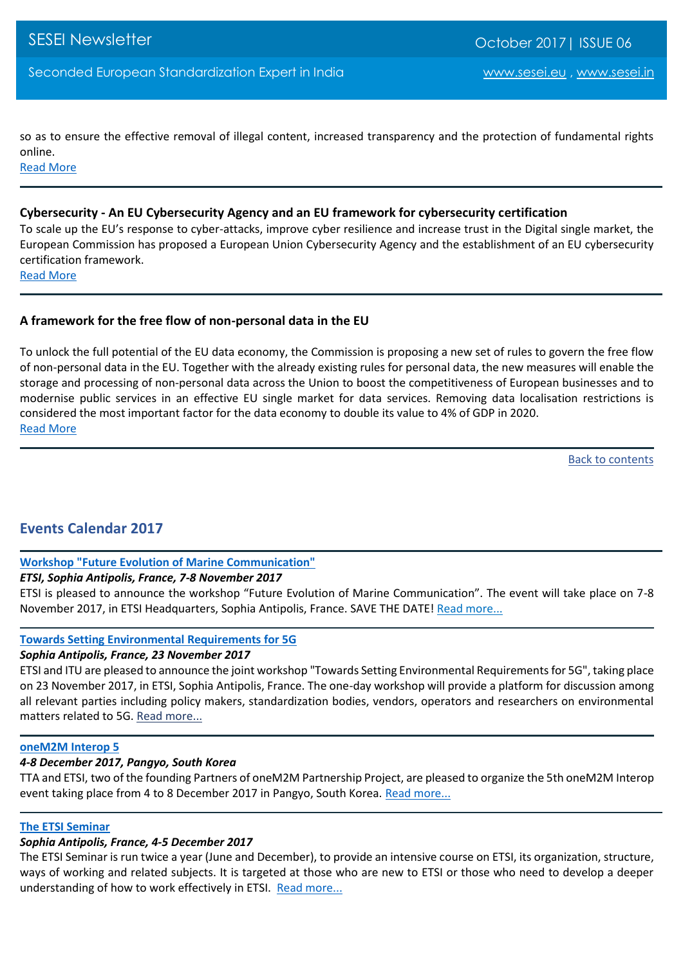so as to ensure the effective removal of illegal content, increased transparency and the protection of fundamental rights online.

[Read More](https://ec.europa.eu/digital-single-market/en/news/communication-tackling-illegal-content-online-towards-enhanced-responsibility-online-platforms)

#### **Cybersecurity - An EU Cybersecurity Agency and an EU framework for cybersecurity certification**

To scale up the EU's response to cyber-attacks, improve cyber resilience and increase trust in the Digital single market, the European Commission has proposed a European Union Cybersecurity Agency and the establishment of an EU cybersecurity certification framework.

[Read More](https://ec.europa.eu/digital-single-market/en/news/cybersecurity-eu-cybersecurity-agency-and-eu-framework-cybersecurity-certification)

#### **A framework for the free flow of non-personal data in the EU**

To unlock the full potential of the EU data economy, the Commission is proposing a new set of rules to govern the free flow of non-personal data in the EU. Together with the already existing rules for personal data, the new measures will enable the storage and processing of non-personal data across the Union to boost the competitiveness of European businesses and to modernise public services in an effective EU single market for data services. Removing data localisation restrictions is considered the most important factor for the data economy to double its value to 4% of GDP in 2020. [Read More](https://ec.europa.eu/digital-single-market/en/news/framework-free-flow-non-personal-data-eu)

[Back to contents](#page-0-0)

# <span id="page-11-0"></span>**Events Calendar 2017**

#### **[Workshop "Future Evolution of Marine Communication"](http://www.etsi.org/news-events/events/1206-workshop-future-evolution-of-marine-communication)**

#### *ETSI, Sophia Antipolis, France, 7-8 November 2017*

ETSI is pleased to announce the workshop "Future Evolution of Marine Communication". The event will take place on 7-8 November 2017, in ETSI Headquarters, Sophia Antipolis, France. SAVE THE DATE! [Read more...](http://www.etsi.org/news-events/events/1206-workshop-future-evolution-of-marine-communication)

#### **[Towards Setting Environmental Requirements for 5G](http://www.etsi.org/news-events/events/1217-towards-setting-environmental-requirements-for-5g)**

#### *Sophia Antipolis, France, 23 November 2017*

ETSI and ITU are pleased to announce the joint workshop "Towards Setting Environmental Requirements for 5G", taking place on 23 November 2017, in ETSI, Sophia Antipolis, France. The one-day workshop will provide a platform for discussion among all relevant parties including policy makers, standardization bodies, vendors, operators and researchers on environmental matters related to 5G. [Read more...](http://www.etsi.org/news-events/events/1217-towards-setting-environmental-requirements-for-5g)

#### **[oneM2M Interop 5](http://www.etsi.org/news-events/events/1211-onem2m-interop-5)**

#### *4-8 December 2017, Pangyo, South Korea*

TTA and ETSI, two of the founding Partners of oneM2M Partnership Project, are pleased to organize the 5th oneM2M Interop event taking place from 4 to 8 December 2017 in Pangyo, South Korea. [Read more...](http://www.etsi.org/news-events/events/1211-onem2m-interop-5)

#### **[The ETSI Seminar](http://www.etsi.org/news-events/events/1212-2017-12-the-etsi-seminarhttp:/www.etsi.org/news-events/events/1212-2017-12-the-etsi-seminar)**

#### *Sophia Antipolis, France, 4-5 December 2017*

The ETSI Seminar is run twice a year (June and December), to provide an intensive course on ETSI, its organization, structure, ways of working and related subjects. It is targeted at those who are new to ETSI or those who need to develop a deeper understanding of how to work effectively in ETSI. [Read more...](http://www.etsi.org/news-events/events/1212-2017-12-the-etsi-seminarhttp:/www.etsi.org/news-events/events/1212-2017-12-the-etsi-seminar)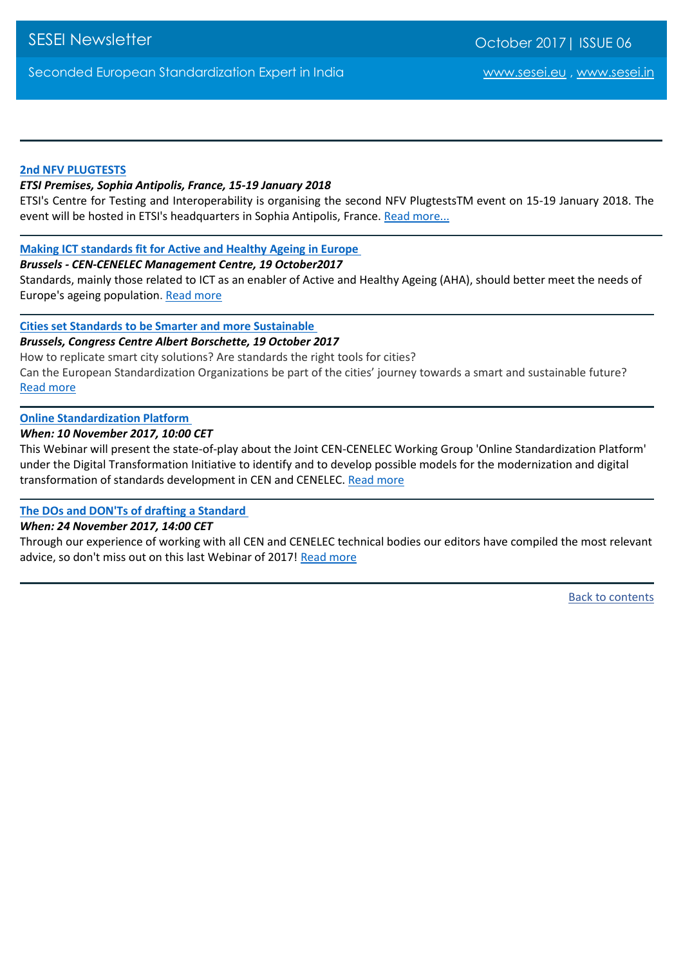# **[2nd NFV PLUGTESTS](http://www.etsi.org/news-events/events/1207-2nd-nfv-plutests)**

#### *ETSI Premises, Sophia Antipolis, France, 15-19 January 2018*

ETSI's Centre for Testing and Interoperability is organising the second NFV PlugtestsTM event on 15-19 January 2018. The event will be hosted in ETSI's headquarters in Sophia Antipolis, France. [Read more...](http://www.etsi.org/news-events/events/1207-2nd-nfv-plutests)

# **[Making ICT standards fit for Active and Healthy Ageing in Europe](https://www.cencenelec.eu/news/events/Pages/EV-2017-032.aspx)**

#### *Brussels - CEN-CENELEC Management Centre, 19 October2017*

Standards, mainly those related to ICT as an enabler of Active and Healthy Ageing (AHA), should better meet the needs of Europe's ageing population[. Read more](https://www.cencenelec.eu/news/events/Pages/EV-2017-032.aspx)

# **[Cities set Standards to be Smarter and more Sustainable](https://www.cencenelec.eu/News/Events/Pages/EV-2017-033.aspx)**

#### *Brussels, Congress Centre Albert Borschette, 19 October 2017*

How to replicate smart city solutions? Are standards the right tools for cities? Can the European Standardization Organizations be part of the cities' journey towards a smart and sustainable future? [Read more](https://www.cencenelec.eu/News/Events/Pages/EV-2017-033.aspx)

# **[Online Standardization Platform](https://www.cencenelec.eu/News/Events/Pages/EV-2017-018.aspx)**

# *When: 10 November 2017, 10:00 CET*

This Webinar will present the state-of-play about the Joint CEN-CENELEC Working Group 'Online Standardization Platform' under the Digital Transformation Initiative to identify and to develop possible models for the modernization and digital transformation of standards development in CEN and CENELEC. [Read more](https://www.cencenelec.eu/News/Events/Pages/EV-2017-018.aspx)

# **[The DOs and DON'Ts of drafting a Standard](https://www.cencenelec.eu/news/events/Pages/EV-2017-019.aspx)**

# *When: 24 November 2017, 14:00 CET*

<span id="page-12-0"></span>Through our experience of working with all CEN and CENELEC technical bodies our editors have compiled the most relevant advice, so don't miss out on this last Webinar of 2017! [Read more](https://www.cencenelec.eu/news/events/Pages/EV-2017-019.aspx)